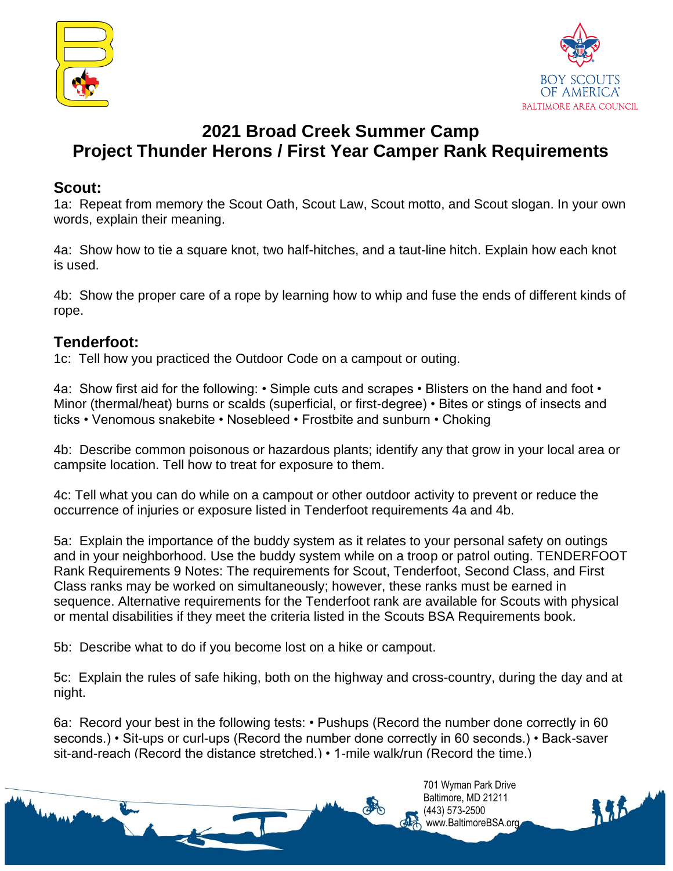



# **2021 Broad Creek Summer Camp Project Thunder Herons / First Year Camper Rank Requirements**

#### **Scout:**

1a: Repeat from memory the Scout Oath, Scout Law, Scout motto, and Scout slogan. In your own words, explain their meaning.

4a: Show how to tie a square knot, two half-hitches, and a taut-line hitch. Explain how each knot is used.

4b: Show the proper care of a rope by learning how to whip and fuse the ends of different kinds of rope.

### **Tenderfoot:**

1c: Tell how you practiced the Outdoor Code on a campout or outing.

4a: Show first aid for the following: • Simple cuts and scrapes • Blisters on the hand and foot • Minor (thermal/heat) burns or scalds (superficial, or first-degree) • Bites or stings of insects and ticks • Venomous snakebite • Nosebleed • Frostbite and sunburn • Choking

4b: Describe common poisonous or hazardous plants; identify any that grow in your local area or campsite location. Tell how to treat for exposure to them.

4c: Tell what you can do while on a campout or other outdoor activity to prevent or reduce the occurrence of injuries or exposure listed in Tenderfoot requirements 4a and 4b.

5a: Explain the importance of the buddy system as it relates to your personal safety on outings and in your neighborhood. Use the buddy system while on a troop or patrol outing. TENDERFOOT Rank Requirements 9 Notes: The requirements for Scout, Tenderfoot, Second Class, and First Class ranks may be worked on simultaneously; however, these ranks must be earned in sequence. Alternative requirements for the Tenderfoot rank are available for Scouts with physical or mental disabilities if they meet the criteria listed in the Scouts BSA Requirements book.

5b: Describe what to do if you become lost on a hike or campout.

5c: Explain the rules of safe hiking, both on the highway and cross-country, during the day and at night.

6a: Record your best in the following tests: • Pushups (Record the number done correctly in 60 seconds.) • Sit-ups or curl-ups (Record the number done correctly in 60 seconds.) • Back-saver sit-and-reach (Record the distance stretched.) • 1-mile walk/run (Record the time.)

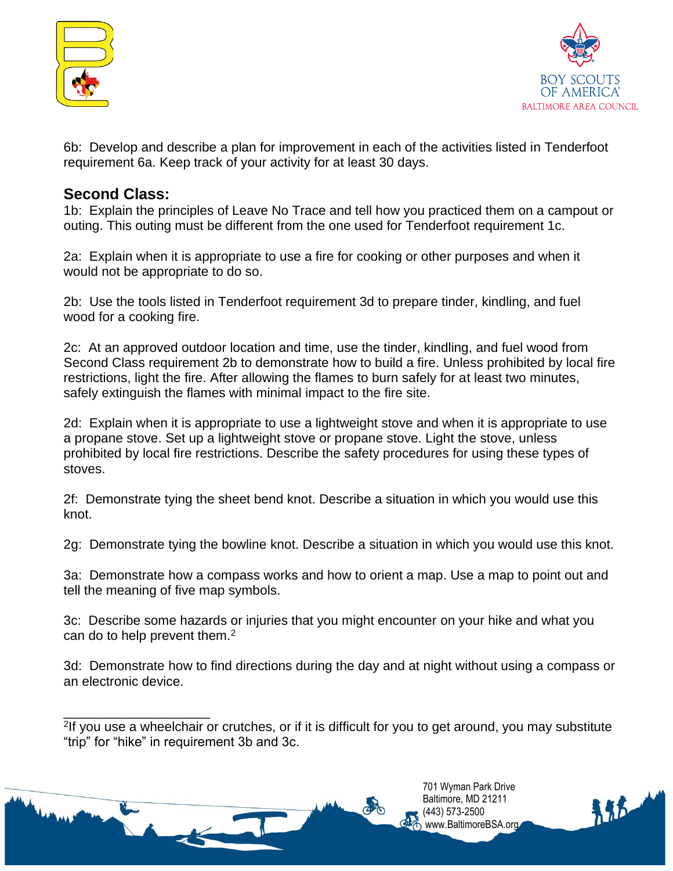



6b: Develop and describe a plan for improvement in each of the activities listed in Tenderfoot requirement 6a. Keep track of your activity for at least 30 days.

#### **Second Class:**

\_\_\_\_\_\_\_\_\_\_\_\_\_\_\_\_\_\_\_\_

1b: Explain the principles of Leave No Trace and tell how you practiced them on a campout or outing. This outing must be different from the one used for Tenderfoot requirement 1c.

2a: Explain when it is appropriate to use a fire for cooking or other purposes and when it would not be appropriate to do so.

2b: Use the tools listed in Tenderfoot requirement 3d to prepare tinder, kindling, and fuel wood for a cooking fire.

2c: At an approved outdoor location and time, use the tinder, kindling, and fuel wood from Second Class requirement 2b to demonstrate how to build a fire. Unless prohibited by local fire restrictions, light the fire. After allowing the flames to burn safely for at least two minutes, safely extinguish the flames with minimal impact to the fire site.

2d: Explain when it is appropriate to use a lightweight stove and when it is appropriate to use a propane stove. Set up a lightweight stove or propane stove. Light the stove, unless prohibited by local fire restrictions. Describe the safety procedures for using these types of stoves.

2f: Demonstrate tying the sheet bend knot. Describe a situation in which you would use this knot.

2g: Demonstrate tying the bowline knot. Describe a situation in which you would use this knot.

3a: Demonstrate how a compass works and how to orient a map. Use a map to point out and tell the meaning of five map symbols.

3c: Describe some hazards or injuries that you might encounter on your hike and what you can do to help prevent them.<sup>2</sup>

3d: Demonstrate how to find directions during the day and at night without using a compass or an electronic device.

<sup>2</sup>If you use a wheelchair or crutches, or if it is difficult for you to get around, you may substitute "trip" for "hike" in requirement 3b and 3c.



(443) 573-2500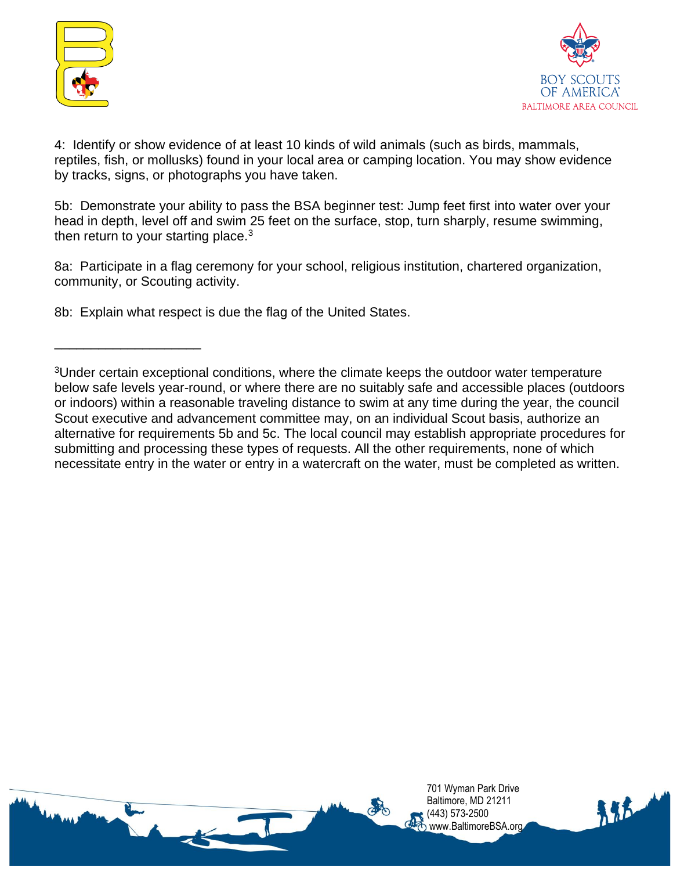

\_\_\_\_\_\_\_\_\_\_\_\_\_\_\_\_\_\_\_\_



4: Identify or show evidence of at least 10 kinds of wild animals (such as birds, mammals, reptiles, fish, or mollusks) found in your local area or camping location. You may show evidence by tracks, signs, or photographs you have taken.

5b: Demonstrate your ability to pass the BSA beginner test: Jump feet first into water over your head in depth, level off and swim 25 feet on the surface, stop, turn sharply, resume swimming, then return to your starting place. $3$ 

8a: Participate in a flag ceremony for your school, religious institution, chartered organization, community, or Scouting activity.

8b: Explain what respect is due the flag of the United States.

<sup>3</sup>Under certain exceptional conditions, where the climate keeps the outdoor water temperature below safe levels year-round, or where there are no suitably safe and accessible places (outdoors or indoors) within a reasonable traveling distance to swim at any time during the year, the council Scout executive and advancement committee may, on an individual Scout basis, authorize an alternative for requirements 5b and 5c. The local council may establish appropriate procedures for submitting and processing these types of requests. All the other requirements, none of which necessitate entry in the water or entry in a watercraft on the water, must be completed as written.

> 701 Wyman Park Drive Baltimore, MD 21211 (443) 573-2500 www.BaltimoreBSA.org

145